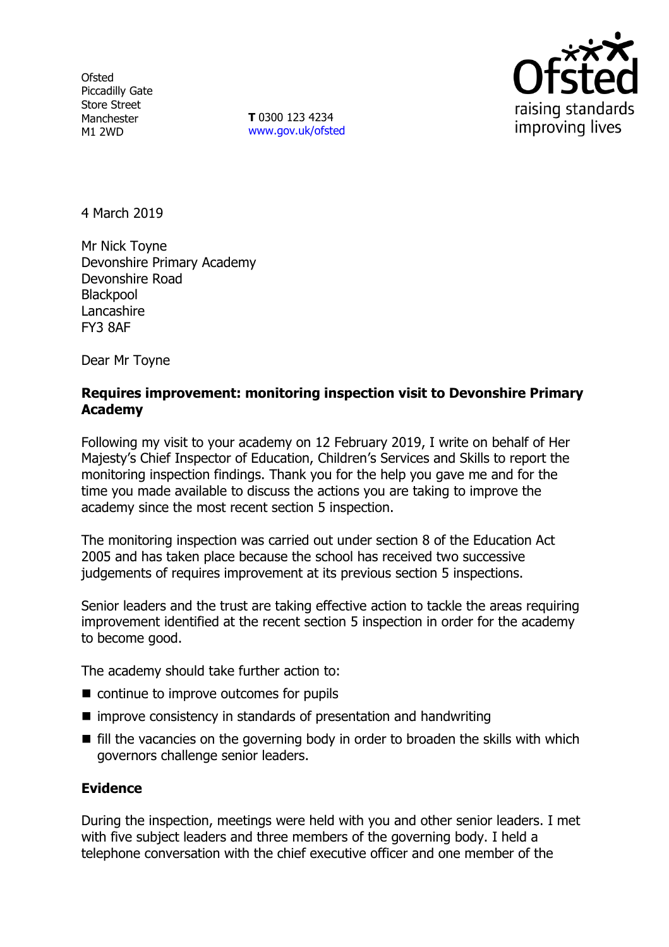**Ofsted** Piccadilly Gate Store Street Manchester M1 2WD

**T** 0300 123 4234 www.gov.uk/ofsted



4 March 2019

Mr Nick Toyne Devonshire Primary Academy Devonshire Road **Blackpool Lancashire** FY3 8AF

Dear Mr Toyne

# **Requires improvement: monitoring inspection visit to Devonshire Primary Academy**

Following my visit to your academy on 12 February 2019, I write on behalf of Her Majesty's Chief Inspector of Education, Children's Services and Skills to report the monitoring inspection findings. Thank you for the help you gave me and for the time you made available to discuss the actions you are taking to improve the academy since the most recent section 5 inspection.

The monitoring inspection was carried out under section 8 of the Education Act 2005 and has taken place because the school has received two successive judgements of requires improvement at its previous section 5 inspections.

Senior leaders and the trust are taking effective action to tackle the areas requiring improvement identified at the recent section 5 inspection in order for the academy to become good.

The academy should take further action to:

- continue to improve outcomes for pupils
- improve consistency in standards of presentation and handwriting
- $\blacksquare$  fill the vacancies on the governing body in order to broaden the skills with which governors challenge senior leaders.

# **Evidence**

During the inspection, meetings were held with you and other senior leaders. I met with five subject leaders and three members of the governing body. I held a telephone conversation with the chief executive officer and one member of the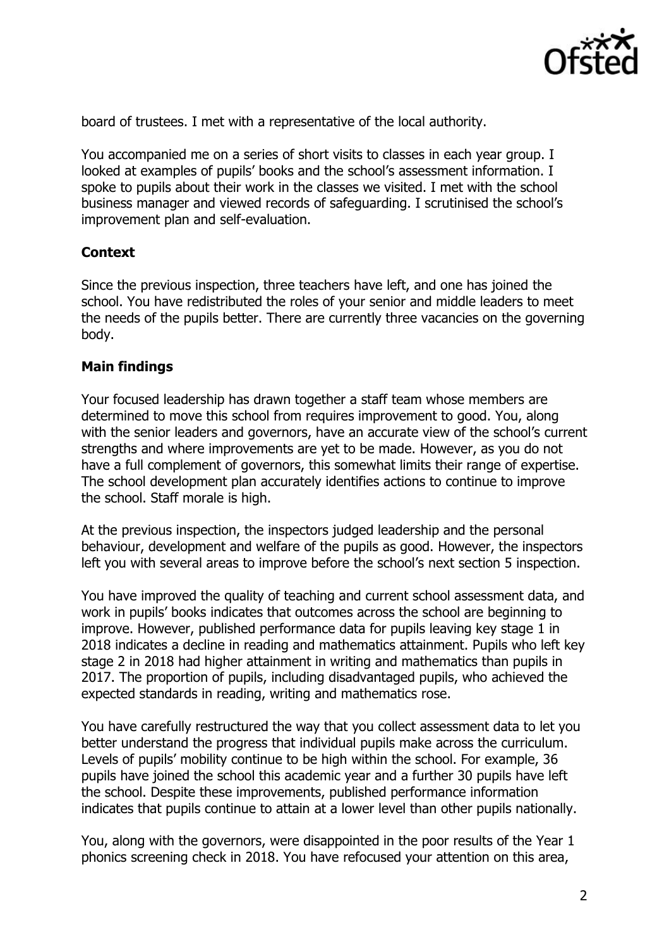

board of trustees. I met with a representative of the local authority.

You accompanied me on a series of short visits to classes in each year group. I looked at examples of pupils' books and the school's assessment information. I spoke to pupils about their work in the classes we visited. I met with the school business manager and viewed records of safeguarding. I scrutinised the school's improvement plan and self-evaluation.

## **Context**

Since the previous inspection, three teachers have left, and one has joined the school. You have redistributed the roles of your senior and middle leaders to meet the needs of the pupils better. There are currently three vacancies on the governing body.

## **Main findings**

Your focused leadership has drawn together a staff team whose members are determined to move this school from requires improvement to good. You, along with the senior leaders and governors, have an accurate view of the school's current strengths and where improvements are yet to be made. However, as you do not have a full complement of governors, this somewhat limits their range of expertise. The school development plan accurately identifies actions to continue to improve the school. Staff morale is high.

At the previous inspection, the inspectors judged leadership and the personal behaviour, development and welfare of the pupils as good. However, the inspectors left you with several areas to improve before the school's next section 5 inspection.

You have improved the quality of teaching and current school assessment data, and work in pupils' books indicates that outcomes across the school are beginning to improve. However, published performance data for pupils leaving key stage 1 in 2018 indicates a decline in reading and mathematics attainment. Pupils who left key stage 2 in 2018 had higher attainment in writing and mathematics than pupils in 2017. The proportion of pupils, including disadvantaged pupils, who achieved the expected standards in reading, writing and mathematics rose.

You have carefully restructured the way that you collect assessment data to let you better understand the progress that individual pupils make across the curriculum. Levels of pupils' mobility continue to be high within the school. For example, 36 pupils have joined the school this academic year and a further 30 pupils have left the school. Despite these improvements, published performance information indicates that pupils continue to attain at a lower level than other pupils nationally.

You, along with the governors, were disappointed in the poor results of the Year 1 phonics screening check in 2018. You have refocused your attention on this area,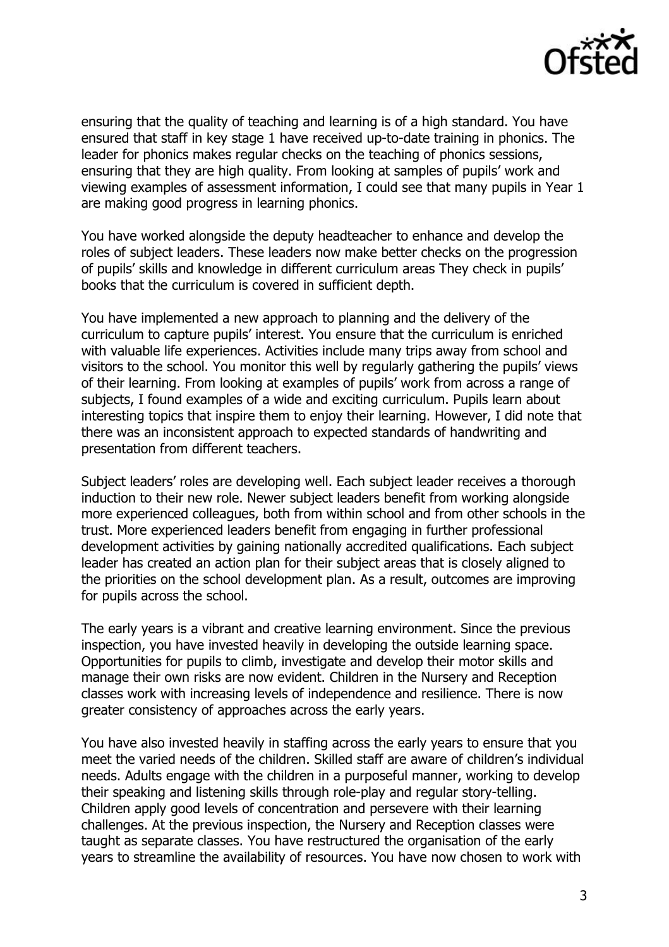

ensuring that the quality of teaching and learning is of a high standard. You have ensured that staff in key stage 1 have received up-to-date training in phonics. The leader for phonics makes regular checks on the teaching of phonics sessions, ensuring that they are high quality. From looking at samples of pupils' work and viewing examples of assessment information, I could see that many pupils in Year 1 are making good progress in learning phonics.

You have worked alongside the deputy headteacher to enhance and develop the roles of subject leaders. These leaders now make better checks on the progression of pupils' skills and knowledge in different curriculum areas They check in pupils' books that the curriculum is covered in sufficient depth.

You have implemented a new approach to planning and the delivery of the curriculum to capture pupils' interest. You ensure that the curriculum is enriched with valuable life experiences. Activities include many trips away from school and visitors to the school. You monitor this well by regularly gathering the pupils' views of their learning. From looking at examples of pupils' work from across a range of subjects, I found examples of a wide and exciting curriculum. Pupils learn about interesting topics that inspire them to enjoy their learning. However, I did note that there was an inconsistent approach to expected standards of handwriting and presentation from different teachers.

Subject leaders' roles are developing well. Each subject leader receives a thorough induction to their new role. Newer subject leaders benefit from working alongside more experienced colleagues, both from within school and from other schools in the trust. More experienced leaders benefit from engaging in further professional development activities by gaining nationally accredited qualifications. Each subject leader has created an action plan for their subject areas that is closely aligned to the priorities on the school development plan. As a result, outcomes are improving for pupils across the school.

The early years is a vibrant and creative learning environment. Since the previous inspection, you have invested heavily in developing the outside learning space. Opportunities for pupils to climb, investigate and develop their motor skills and manage their own risks are now evident. Children in the Nursery and Reception classes work with increasing levels of independence and resilience. There is now greater consistency of approaches across the early years.

You have also invested heavily in staffing across the early years to ensure that you meet the varied needs of the children. Skilled staff are aware of children's individual needs. Adults engage with the children in a purposeful manner, working to develop their speaking and listening skills through role-play and regular story-telling. Children apply good levels of concentration and persevere with their learning challenges. At the previous inspection, the Nursery and Reception classes were taught as separate classes. You have restructured the organisation of the early years to streamline the availability of resources. You have now chosen to work with